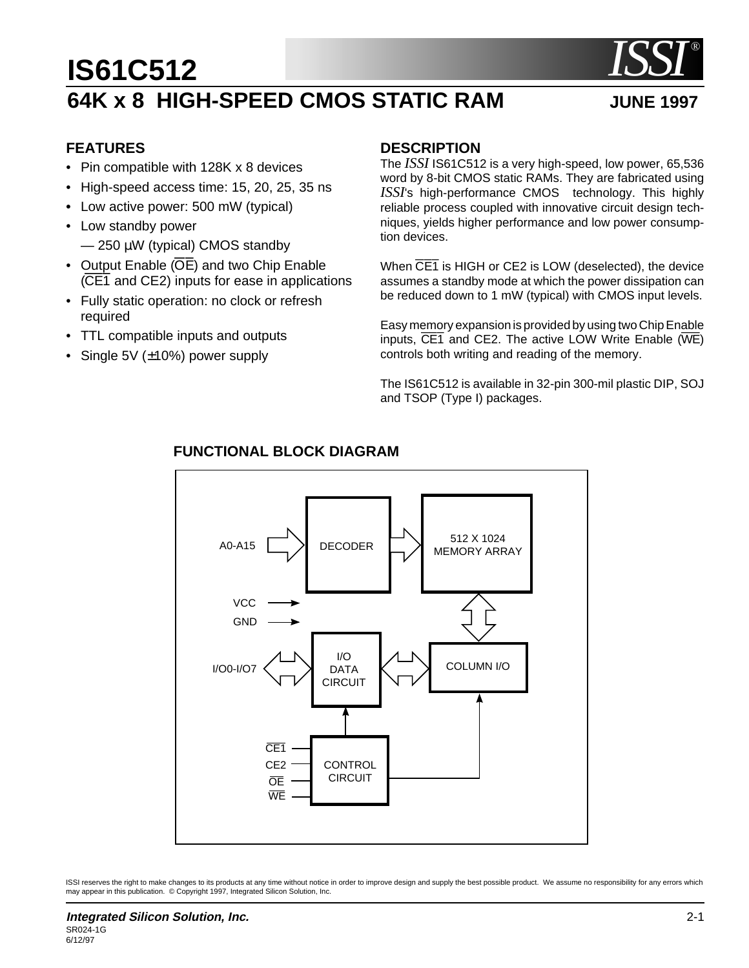# **IS61C512 IS61C512 64K x 8 HIGH-SPEED CMOS STATIC RAM JUNE 1997**



### **FEATURES**

- Pin compatible with 128K x 8 devices
- High-speed access time: 15, 20, 25, 35 ns
- **•** Low active power: 500 mW (typical)
- Low standby power  $-$  250  $\mu$ W (typical) CMOS standby
- Output Enable ( $\overline{OE}$ ) and two Chip Enable (CE1 and CE2) inputs for ease in applications
- Fully static operation: no clock or refresh required
- TTL compatible inputs and outputs
- Single 5V (±10%) power supply

### **DESCRIPTION**

The *ISSI* IS61C512 is a very high-speed, low power, 65,536 word by 8-bit CMOS static RAMs. They are fabricated using *ISSI*'s high-performance CMOS technology. This highly reliable process coupled with innovative circuit design techniques, yields higher performance and low power consumption devices.

When  $\overline{\text{CE1}}$  is HIGH or CE2 is LOW (deselected), the device assumes a standby mode at which the power dissipation can be reduced down to 1 mW (typical) with CMOS input levels.

Easy memory expansion is provided by using two Chip Enable inputs,  $\overline{CE1}$  and CE2. The active LOW Write Enable ( $\overline{WE}$ ) controls both writing and reading of the memory.

The IS61C512 is available in 32-pin 300-mil plastic DIP, SOJ and TSOP (Type I) packages.



### **FUNCTIONAL BLOCK DIAGRAM**

ISSI reserves the right to make changes to its products at any time without notice in order to improve design and supply the best possible product. We assume no responsibility for any errors which may appear in this publication. © Copyright 1997, Integrated Silicon Solution, Inc.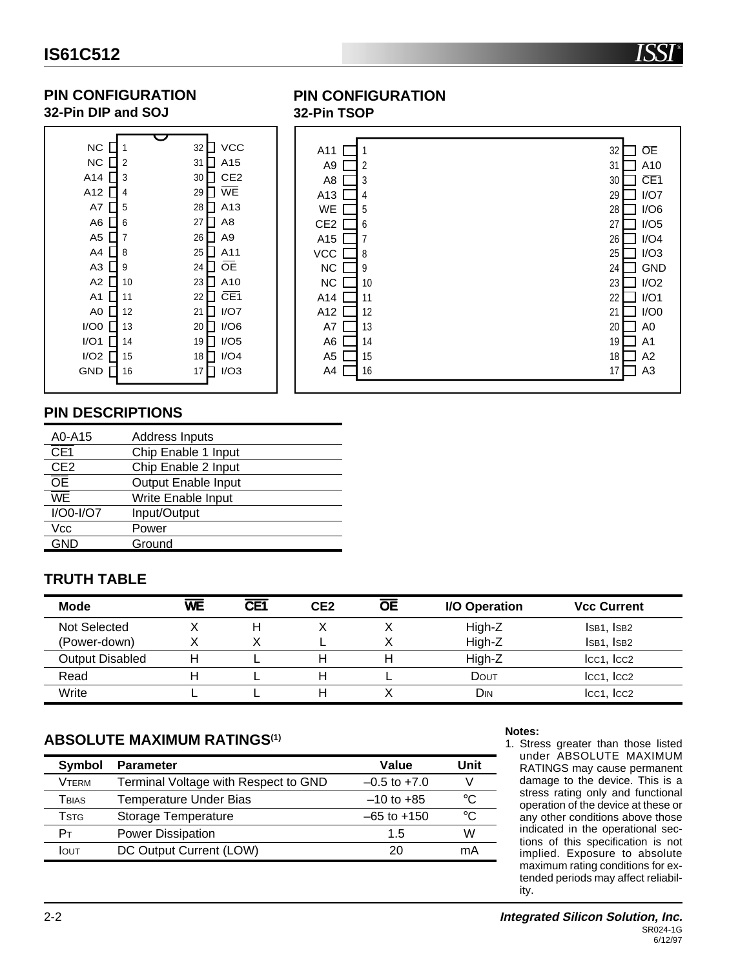

#### **PIN CONFIGURATION 32-Pin DIP and SOJ**

| NC             | 1              | <b>VCC</b><br>32       |
|----------------|----------------|------------------------|
| NC.            | $\overline{2}$ | A15<br>31              |
| A14            | 3              | CE <sub>2</sub><br>30  |
| A12            | 4              | <b>WE</b><br>29        |
| A7             | 5              | A13<br>28              |
| A6             | 6              | A <sub>8</sub><br>27   |
| A5             | 7              | A <sub>9</sub><br>26   |
| A4             | 8              | A11<br>25              |
| A <sub>3</sub> | 9              | <b>OE</b><br>24        |
| A2             | 10             | A10<br>23              |
| A <sub>1</sub> | 11             | $\overline{CE1}$<br>22 |
| A <sub>0</sub> | 12             | I/O7<br>21             |
| I/O0           | 13             | I/O6<br>20             |
| I/O1           | 14             | I/O5<br>19             |
| I/O2           | 15             | I/O4<br>18             |
| <b>GND</b>     | 16             | I/O3<br>17             |
|                |                |                        |

### **PIN CONFIGURATION 32-Pin TSOP**

| A11             |                | <b>OE</b><br>32       |
|-----------------|----------------|-----------------------|
| A <sub>9</sub>  | $\overline{2}$ | A10<br>31             |
| A <sub>8</sub>  | 3              | CE <sub>1</sub><br>30 |
| A13             | 4              | I/O7<br>29            |
| WE              | 5              | I/O6<br>28            |
| CE <sub>2</sub> | 6              | I/O5<br>27            |
| A15             | $\overline{7}$ | I/O4<br>26            |
| <b>VCC</b>      | 8              | I/O3<br>25            |
| NC              | 9              | <b>GND</b><br>24      |
| NC              | 10             | I/O2<br>23            |
| A14             | 11             | I/O1<br>22            |
| A12             | 12             | I/O0<br>21            |
| A7              | 13             | 20<br>A <sub>0</sub>  |
| A <sub>6</sub>  | 14             | 19<br>A <sub>1</sub>  |
| A <sub>5</sub>  | 15             | A2<br>18              |
| A4              | 16             | A <sub>3</sub><br>17  |

### **PIN DESCRIPTIONS**

| A0-A15                   | <b>Address Inputs</b> |
|--------------------------|-----------------------|
| $\overline{CE1}$         | Chip Enable 1 Input   |
| CE <sub>2</sub>          | Chip Enable 2 Input   |
| $\overline{\mathsf{OE}}$ | Output Enable Input   |
| WE                       | Write Enable Input    |
| $I/OO-I/O7$              | Input/Output          |
| Vcc                      | Power                 |
| <b>GND</b>               | Ground                |

### **TRUTH TABLE**

| <b>Mode</b>            | WE | CE <sub>1</sub> | CE <sub>2</sub> | ŌĒ | I/O Operation | <b>Vcc Current</b> |
|------------------------|----|-----------------|-----------------|----|---------------|--------------------|
| Not Selected           |    |                 |                 |    | High-Z        | ISB1, ISB2         |
| (Power-down)           |    |                 |                 |    | High-Z        | ISB1, ISB2         |
| <b>Output Disabled</b> | н  |                 | Н               |    | High-Z        | $lcc1$ , $lcc2$    |
| Read                   |    |                 | Н               |    | DOUT          | $lcc1$ , $lcc2$    |
| Write                  |    |                 | Н               |    | Dın           | $lcc1$ , $lcc2$    |

### **ABSOLUTE MAXIMUM RATINGS(1)**

| Symbol       | <b>Parameter</b>                     | Value            | Unit        |
|--------------|--------------------------------------|------------------|-------------|
| <b>VTFRM</b> | Terminal Voltage with Respect to GND | $-0.5$ to $+7.0$ |             |
| Tbias        | Temperature Under Bias               | $-10$ to $+85$   | $^{\circ}C$ |
| Tstg         | Storage Temperature                  | $-65$ to $+150$  | °C          |
| Pт           | <b>Power Dissipation</b>             | 1.5              | W           |
| Ιουτ         | DC Output Current (LOW)              | 20               | mA          |

#### **Notes:**

1. Stress greater than those listed under ABSOLUTE MAXIMUM RATINGS may cause permanent damage to the device. This is a stress rating only and functional operation of the device at these or any other conditions above those indicated in the operational sections of this specification is not implied. Exposure to absolute maximum rating conditions for extended periods may affect reliability.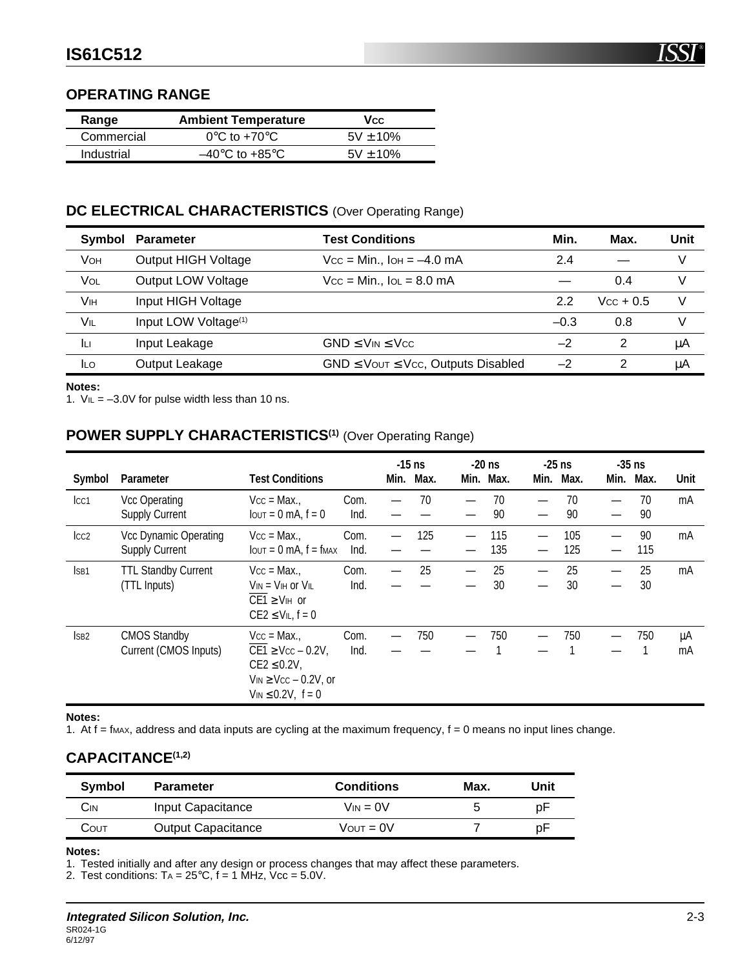### **OPERATING RANGE**

| Range      | <b>Ambient Temperature</b>          | Vcc           |
|------------|-------------------------------------|---------------|
| Commercial | $0^{\circ}$ C to +70 $^{\circ}$ C   | $5V \pm 10\%$ |
| Industrial | $-40^{\circ}$ C to +85 $^{\circ}$ C | $5V + 10%$    |

### **DC ELECTRICAL CHARACTERISTICS** (Over Operating Range)

| Symbol                | Parameter                        | <b>Test Conditions</b>                         | Min.   | Max.        | Unit |
|-----------------------|----------------------------------|------------------------------------------------|--------|-------------|------|
| <b>V</b> он           | <b>Output HIGH Voltage</b>       | $Vcc = Min.,$ $IOH = -4.0 mA$                  | 2.4    |             |      |
| VOL                   | <b>Output LOW Voltage</b>        | $Vcc = Min., IoL = 8.0 mA$                     |        | 0.4         |      |
| <b>V<sub>IH</sub></b> | Input HIGH Voltage               |                                                | 2.2    | $Vec + 0.5$ | V    |
| VIL                   | Input LOW Voltage <sup>(1)</sup> |                                                | $-0.3$ | 0.8         |      |
| Iц                    | Input Leakage                    | $GND \leq V_{IN} \leq V_{CC}$                  | $-2$   | 2           | μA   |
| <b>ILO</b>            | Output Leakage                   | $GND \leq V$ OUT $\leq V$ CC, Outputs Disabled | $-2$   | 2           | μA   |

#### **Notes:**

1.  $V_{IL} = -3.0V$  for pulse width less than 10 ns.

### POWER SUPPLY CHARACTERISTICS<sup>(1)</sup> (Over Operating Range)

| Symbol           | <b>Parameter</b>                               | <b>Test Conditions</b>                                                                                                                                          |              | Min. | $-15$ ns<br>Max. | $-20$ ns<br>Min. Max. | Min. | $-25$ ns<br>Max. | Min. | $-35$ ns<br>Max. | Unit     |
|------------------|------------------------------------------------|-----------------------------------------------------------------------------------------------------------------------------------------------------------------|--------------|------|------------------|-----------------------|------|------------------|------|------------------|----------|
| Icc <sub>1</sub> | Vcc Operating<br><b>Supply Current</b>         | $Vcc = Max.$<br>$I$ out = 0 mA, $f = 0$                                                                                                                         | Com.<br>Ind. |      | 70               | 70<br>90              |      | 70<br>90         |      | 70<br>90         | mA       |
| cc2              | Vcc Dynamic Operating<br><b>Supply Current</b> | $Vcc = Max.$<br>$I_{\text{OUT}} = 0$ mA, $f = f_{\text{MAX}}$                                                                                                   | Com.<br>Ind. |      | 125              | 115<br>135            |      | 105<br>125       | —    | 90<br>115        | mA       |
| ISB <sub>1</sub> | <b>TTL Standby Current</b><br>(TTL Inputs)     | $Vcc = Max.$<br>$V_{IN} = V_{IH}$ or $V_{IL}$<br>$\overline{CE1} \geq V_{\text{IH}}$ or<br>$CE2 \leq VIL$ , $f = 0$                                             | Com.<br>Ind. |      | 25               | 25<br>30              |      | 25<br>30         |      | 25<br>30         | mA       |
| ISB <sub>2</sub> | <b>CMOS Standby</b><br>Current (CMOS Inputs)   | $Vcc = Max.$<br>$\overline{\text{CE1}} \geq \text{Vcc} - 0.2\text{V}$ ,<br>$CE2 \leq 0.2V$ ,<br>$V_{IN} \geq V_{CC} - 0.2V$ , or<br>$V_{IN} \le 0.2V$ , $f = 0$ | Com.<br>Ind. |      | 750              | 750                   |      | 750              |      | 750              | μA<br>mA |

#### **Notes:**

1. At  $f = f_{MAX}$ , address and data inputs are cycling at the maximum frequency,  $f = 0$  means no input lines change.

### **CAPACITANCE(1,2)**

| <b>Symbol</b> | <b>Parameter</b>          | <b>Conditions</b>     | Max. | Unit |
|---------------|---------------------------|-----------------------|------|------|
| Cin           | Input Capacitance         | $V_{IN} = 0V$         |      | рF   |
| $C$ OUT       | <b>Output Capacitance</b> | $V_{\text{OUT}} = 0V$ |      | рF   |

#### **Notes:**

1. Tested initially and after any design or process changes that may affect these parameters.

2. Test conditions:  $TA = 25^{\circ}C$ ,  $f = 1$  MHz,  $Vcc = 5.0V$ .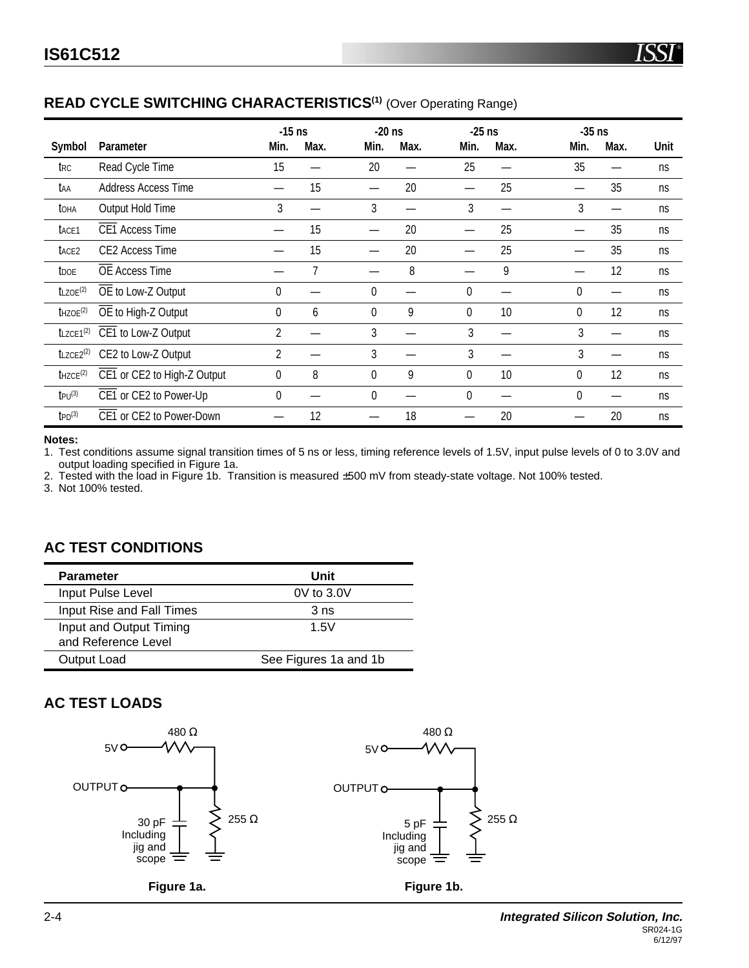# **READ CYCLE SWITCHING CHARACTERISTICS(1)** (Over Operating Range)

|                          |                             | $-15$ ns       |      | $-20$ ns     |      | $-25$ ns     |      | $-35$ ns     |      |             |
|--------------------------|-----------------------------|----------------|------|--------------|------|--------------|------|--------------|------|-------------|
| Symbol                   | <b>Parameter</b>            | Min.           | Max. | Min.         | Max. | Min.         | Max. | Min.         | Max. | <b>Unit</b> |
| trc                      | Read Cycle Time             | 15             |      | 20           |      | 25           |      | 35           |      | ns          |
| taa                      | Address Access Time         |                | 15   |              | 20   |              | 25   |              | 35   | ns          |
| toha                     | Output Hold Time            | 3              |      | 3            |      | 3            |      | 3            |      | ns          |
| t <sub>ACE1</sub>        | <b>CE1 Access Time</b>      |                | 15   |              | 20   |              | 25   |              | 35   | ns          |
| t <sub>ACE2</sub>        | CE2 Access Time             |                | 15   |              | 20   |              | 25   |              | 35   | ns          |
| <b>t</b> DOE             | <b>OE Access Time</b>       |                |      |              | 8    |              | 9    |              | 12   | ns          |
| $t$ LZOE <sup>(2)</sup>  | OE to Low-Z Output          | $\mathbf{0}$   |      | $\mathbf{0}$ |      | $\mathbf{0}$ |      | $\mathbf{0}$ |      | ns          |
| $t$ HZOE $(2)$           | OE to High-Z Output         | 0              | 6    | 0            | 9    | $\mathbf{0}$ | 10   | 0            | 12   | ns          |
| $t$ LZCE1 <sup>(2)</sup> | CE1 to Low-Z Output         | $\overline{2}$ |      | 3            |      | 3            |      | 3            |      | ns          |
| $t$ LZCE2 <sup>(2)</sup> | CE2 to Low-Z Output         | $\overline{2}$ |      | 3            |      | 3            |      | 3            |      | ns          |
| $t$ HZCE $(2)$           | CE1 or CE2 to High-Z Output | $\mathbf 0$    | 8    | $\mathbf{0}$ | 9    | 0            | 10   | $\mathbf{0}$ | 12   | ns          |
| $[PU^{(3)}]$             | CE1 or CE2 to Power-Up      | 0              |      | 0            |      | $\mathbf{0}$ |      | $\mathbf{0}$ |      | ns          |
| $tpD^{(3)}$              | CE1 or CE2 to Power-Down    |                | 12   |              | 18   |              | 20   |              | 20   | ns          |

#### **Notes:**

1. Test conditions assume signal transition times of 5 ns or less, timing reference levels of 1.5V, input pulse levels of 0 to 3.0V and output loading specified in Figure 1a.

2. Tested with the load in Figure 1b. Transition is measured ±500 mV from steady-state voltage. Not 100% tested.

3. Not 100% tested.

### **AC TEST CONDITIONS**

| <b>Parameter</b>                               | Unit                  |
|------------------------------------------------|-----------------------|
| Input Pulse Level                              | $0V$ to $3.0V$        |
| Input Rise and Fall Times                      | 3 <sub>ns</sub>       |
| Input and Output Timing<br>and Reference Level | 1.5V                  |
| Output Load                                    | See Figures 1a and 1b |

### **AC TEST LOADS**

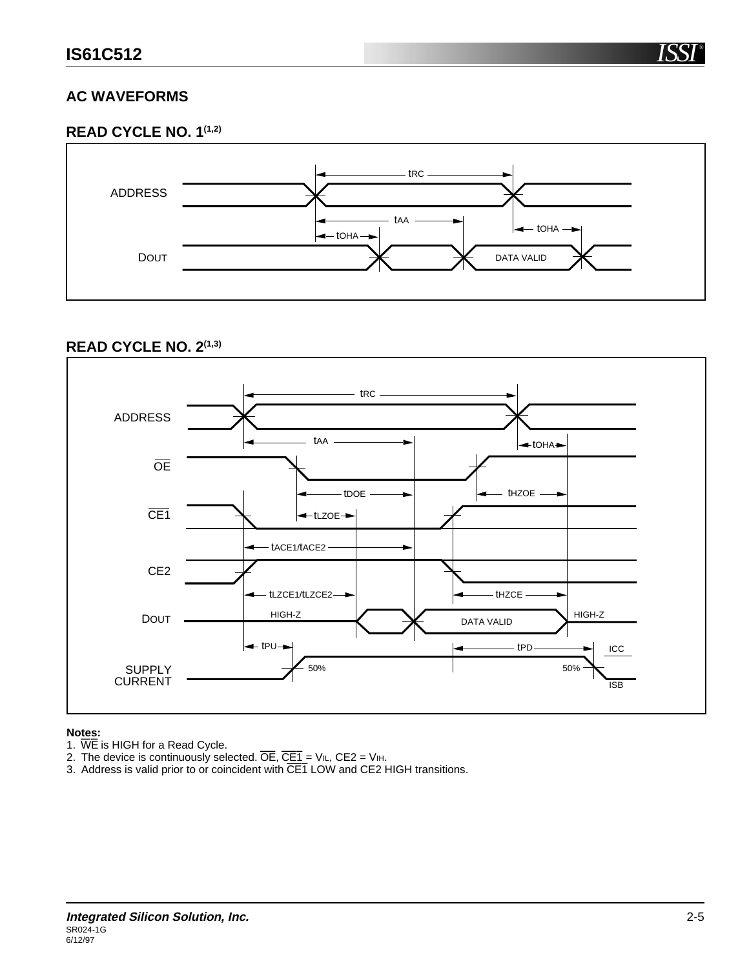### **AC WAVEFORMS**

### **READ CYCLE NO. 1(1,2)**



### READ CYCLE NO. 2<sup>(1,3)</sup>



#### **Notes:**

- 1. WE is HIGH for a Read Cycle.
- 2. The device is continuously selected.  $\overline{OE}$ ,  $\overline{CE1}$  = V<sub>IL</sub>, CE2 = V<sub>IH</sub>.
- 3. Address is valid prior to or coincident with CE1 LOW and CE2 HIGH transitions.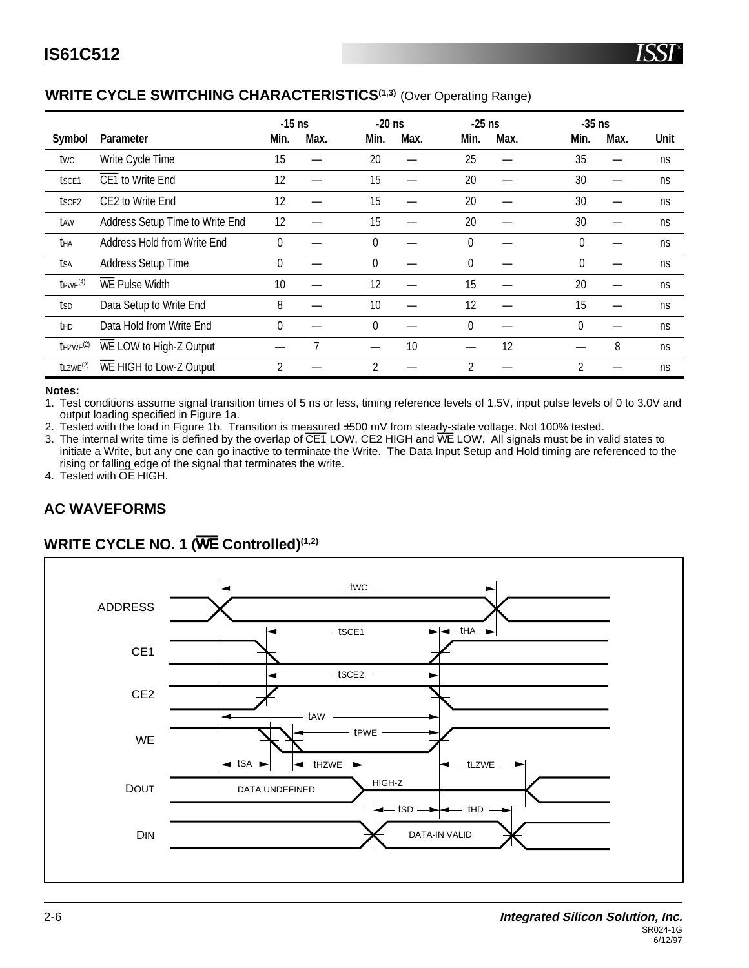### **WRITE CYCLE SWITCHING CHARACTERISTICS<sup>(1,3)</sup> (Over Operating Range)**

|                          |                                 | $-15$ ns       |      | $-20$ ns       |      | $-25$ ns     | $-35$ ns       |      |      |
|--------------------------|---------------------------------|----------------|------|----------------|------|--------------|----------------|------|------|
| Symbol                   | <b>Parameter</b>                | Min.           | Max. | Min.           | Max. | Min.<br>Max. | Min.           | Max. | Unit |
| twc                      | Write Cycle Time                | 15             |      | 20             |      | 25           | 35             |      | ns   |
| t <sub>sce1</sub>        | CE1 to Write End                | 12             |      | 15             |      | 20           | 30             |      | ns   |
| tsc <sub>E2</sub>        | CE2 to Write End                | 12             |      | 15             |      | 20           | 30             |      | ns   |
| taw                      | Address Setup Time to Write End | 12             |      | 15             |      | 20           | 30             |      | ns   |
| tha                      | Address Hold from Write End     | $\mathbf{0}$   |      | 0              |      | 0            | $\theta$       |      | ns   |
| tsa                      | Address Setup Time              | 0              |      | 0              |      | $\mathbf{0}$ | $\Omega$       |      | ns   |
| $t$ <sub>PWE</sub> $(4)$ | WE Pulse Width                  | 10             |      | 12             |      | 15           | 20             |      | ns   |
| tsp                      | Data Setup to Write End         | 8              |      | 10             |      | 12           | 15             |      | ns   |
| thd                      | Data Hold from Write End        | $\theta$       |      | 0              |      | $\mathbf{0}$ | $\theta$       |      | ns   |
| $t$ HZWE $(2)$           | WE LOW to High-Z Output         |                |      |                | 10   | 12           |                | 8    | ns   |
| $t$ LZWE <sup>(2)</sup>  | WE HIGH to Low-Z Output         | $\overline{2}$ |      | $\overline{2}$ |      | 2            | $\overline{2}$ |      | ns   |

#### **Notes:**

1. Test conditions assume signal transition times of 5 ns or less, timing reference levels of 1.5V, input pulse levels of 0 to 3.0V and output loading specified in Figure 1a.

2. Tested with the load in Figure 1b. Transition is measured ±500 mV from steady-state voltage. Not 100% tested.

3. The internal write time is defined by the overlap of  $\overline{\text{CE1}}$  LOW, CE2 HIGH and WE LOW. All signals must be in valid states to initiate a Write, but any one can go inactive to terminate the Write. The Data Input Setup and Hold timing are referenced to the rising or falling edge of the signal that terminates the write.

4. Tested with OE HIGH.

## **AC WAVEFORMS**

## **WRITE CYCLE NO. 1 (**WE **Controlled)(1,2)**

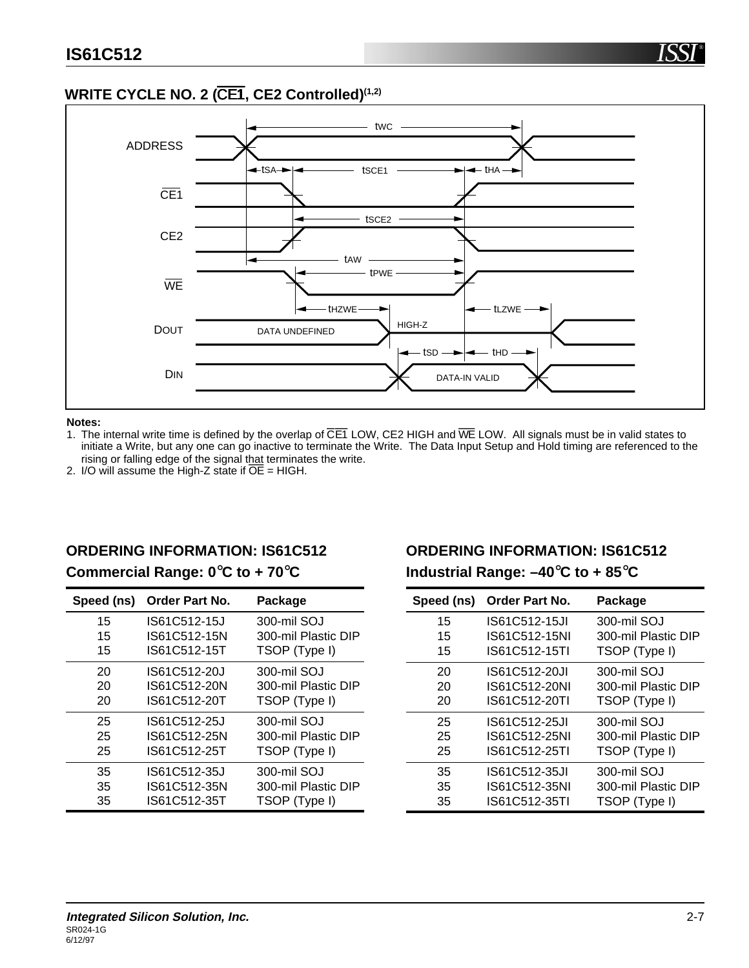## **WRITE CYCLE NO. 2 (**CE1**, CE2 Controlled)(1,2)**



#### **Notes:**

1. The internal write time is defined by the overlap of  $\overline{C}\overline{E1}$  LOW, CE2 HIGH and WE LOW. All signals must be in valid states to initiate a Write, but any one can go inactive to terminate the Write. The Data Input Setup and Hold timing are referenced to the rising or falling edge of the signal that terminates the write.

2. I/O will assume the High-Z state if  $\overline{OE}$  = HIGH.

### **ORDERING INFORMATION: IS61C512 Commercial Range: 0**°**C to + 70**°**C**

| Speed (ns) | <b>Order Part No.</b> | Package             |
|------------|-----------------------|---------------------|
| 15         | IS61C512-15J          | 300-mil SOJ         |
| 15         | IS61C512-15N          | 300-mil Plastic DIP |
| 15         | IS61C512-15T          | TSOP (Type I)       |
| 20         | IS61C512-20J          | 300-mil SOJ         |
| 20         | IS61C512-20N          | 300-mil Plastic DIP |
| 20         | IS61C512-20T          | TSOP (Type I)       |
| 25         | IS61C512-25J          | 300-mil SOJ         |
| 25         | IS61C512-25N          | 300-mil Plastic DIP |
| 25         | IS61C512-25T          | TSOP (Type I)       |
| 35         | IS61C512-35J          | 300-mil SOJ         |
| 35         | IS61C512-35N          | 300-mil Plastic DIP |
| 35         | IS61C512-35T          | TSOP (Type I)       |

# **ORDERING INFORMATION: IS61C512 Industrial Range: –40**°**C to + 85**°**C**

| Speed (ns) | <b>Order Part No.</b> | Package             |
|------------|-----------------------|---------------------|
| 15         | IS61C512-15JI         | 300-mil SOJ         |
| 15         | IS61C512-15NI         | 300-mil Plastic DIP |
| 15         | IS61C512-15TI         | TSOP (Type I)       |
| 20         | IS61C512-20JI         | 300-mil SOJ         |
| 20         | IS61C512-20NI         | 300-mil Plastic DIP |
| 20         | IS61C512-20TI         | TSOP (Type I)       |
| 25         | IS61C512-25JI         | 300-mil SOJ         |
| 25         | IS61C512-25NI         | 300-mil Plastic DIP |
| 25         | IS61C512-25TI         | TSOP (Type I)       |
| 35         | IS61C512-35JI         | 300-mil SOJ         |
| 35         | IS61C512-35NI         | 300-mil Plastic DIP |
| 35         | IS61C512-35TI         | TSOP (Type I)       |